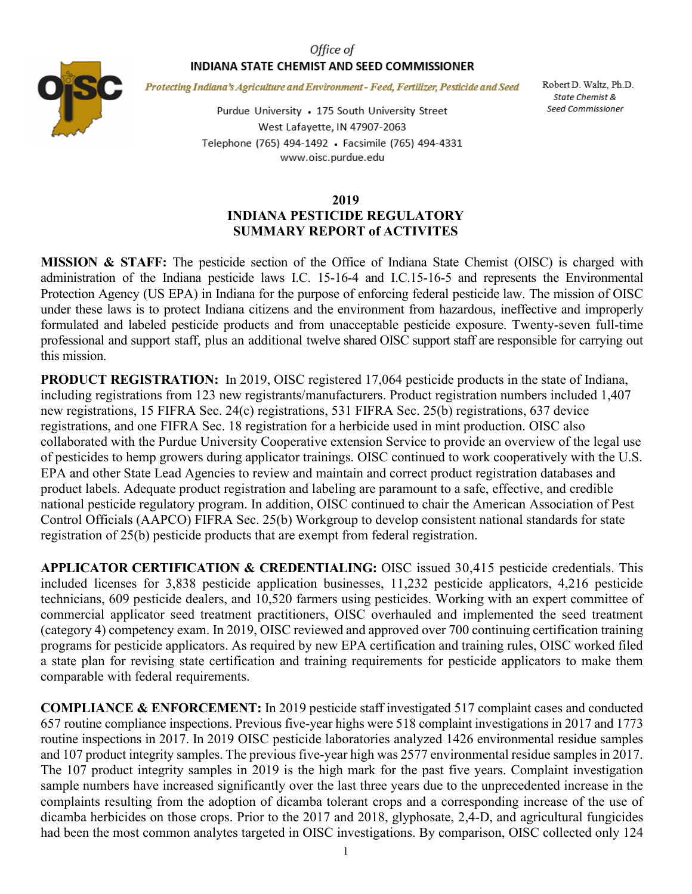## Office of INDIANA STATE CHEMIST AND SEED COMMISSIONER



Protecting Indiana's Agriculture and Environment - Feed, Fertilizer, Pesticide and Seed

Purdue University • 175 South University Street West Lafayette, IN 47907-2063 Telephone (765) 494-1492 · Facsimile (765) 494-4331 www.oisc.purdue.edu

Robert D. Waltz, Ph.D. State Chemist & Seed Commissioner

## **2019 INDIANA PESTICIDE REGULATORY SUMMARY REPORT of ACTIVITES**

**MISSION & STAFF:** The pesticide section of the Office of Indiana State Chemist (OISC) is charged with administration of the Indiana pesticide laws I.C. 15-16-4 and I.C.15-16-5 and represents the Environmental Protection Agency (US EPA) in Indiana for the purpose of enforcing federal pesticide law. The mission of OISC under these laws is to protect Indiana citizens and the environment from hazardous, ineffective and improperly formulated and labeled pesticide products and from unacceptable pesticide exposure. Twenty-seven full-time professional and support staff, plus an additional twelve shared OISC support staff are responsible for carrying out this mission.

**PRODUCT REGISTRATION:** In 2019, OISC registered 17,064 pesticide products in the state of Indiana, including registrations from 123 new registrants/manufacturers. Product registration numbers included 1,407 new registrations, 15 FIFRA Sec. 24(c) registrations, 531 FIFRA Sec. 25(b) registrations, 637 device registrations, and one FIFRA Sec. 18 registration for a herbicide used in mint production. OISC also collaborated with the Purdue University Cooperative extension Service to provide an overview of the legal use of pesticides to hemp growers during applicator trainings. OISC continued to work cooperatively with the U.S. EPA and other State Lead Agencies to review and maintain and correct product registration databases and product labels. Adequate product registration and labeling are paramount to a safe, effective, and credible national pesticide regulatory program. In addition, OISC continued to chair the American Association of Pest Control Officials (AAPCO) FIFRA Sec. 25(b) Workgroup to develop consistent national standards for state registration of 25(b) pesticide products that are exempt from federal registration.

**APPLICATOR CERTIFICATION & CREDENTIALING:** OISC issued 30,415 pesticide credentials. This included licenses for 3,838 pesticide application businesses, 11,232 pesticide applicators, 4,216 pesticide technicians, 609 pesticide dealers, and 10,520 farmers using pesticides. Working with an expert committee of commercial applicator seed treatment practitioners, OISC overhauled and implemented the seed treatment (category 4) competency exam. In 2019, OISC reviewed and approved over 700 continuing certification training programs for pesticide applicators. As required by new EPA certification and training rules, OISC worked filed a state plan for revising state certification and training requirements for pesticide applicators to make them comparable with federal requirements.

**COMPLIANCE & ENFORCEMENT:** In 2019 pesticide staff investigated 517 complaint cases and conducted 657 routine compliance inspections. Previous five-year highs were 518 complaint investigations in 2017 and 1773 routine inspections in 2017. In 2019 OISC pesticide laboratories analyzed 1426 environmental residue samples and 107 product integrity samples. The previous five-year high was 2577 environmental residue samples in 2017. The 107 product integrity samples in 2019 is the high mark for the past five years. Complaint investigation sample numbers have increased significantly over the last three years due to the unprecedented increase in the complaints resulting from the adoption of dicamba tolerant crops and a corresponding increase of the use of dicamba herbicides on those crops. Prior to the 2017 and 2018, glyphosate, 2,4-D, and agricultural fungicides had been the most common analytes targeted in OISC investigations. By comparison, OISC collected only 124